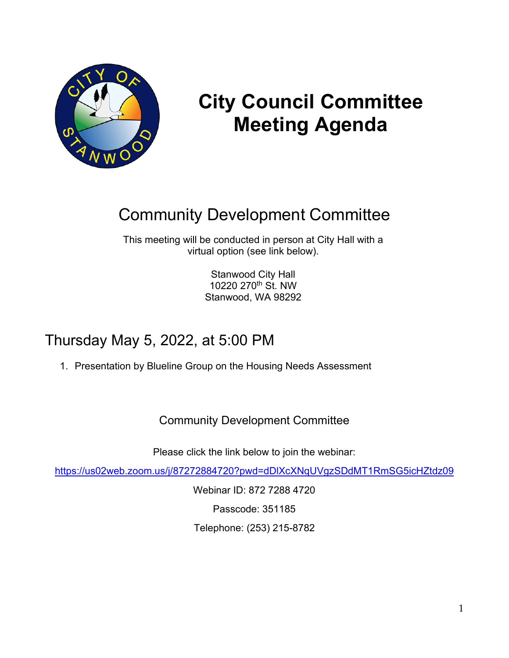

# **City Council Committee Meeting Agenda**

## Community Development Committee

This meeting will be conducted in person at City Hall with a virtual option (see link below).

> Stanwood City Hall 10220 270th St. NW Stanwood, WA 98292

### Thursday May 5, 2022, at 5:00 PM

1. Presentation by Blueline Group on the Housing Needs Assessment

Community Development Committee

Please click the link below to join the webinar:

<https://us02web.zoom.us/j/87272884720?pwd=dDlXcXNqUVgzSDdMT1RmSG5icHZtdz09>

Webinar ID: 872 7288 4720 Passcode: 351185 Telephone: (253) 215-8782